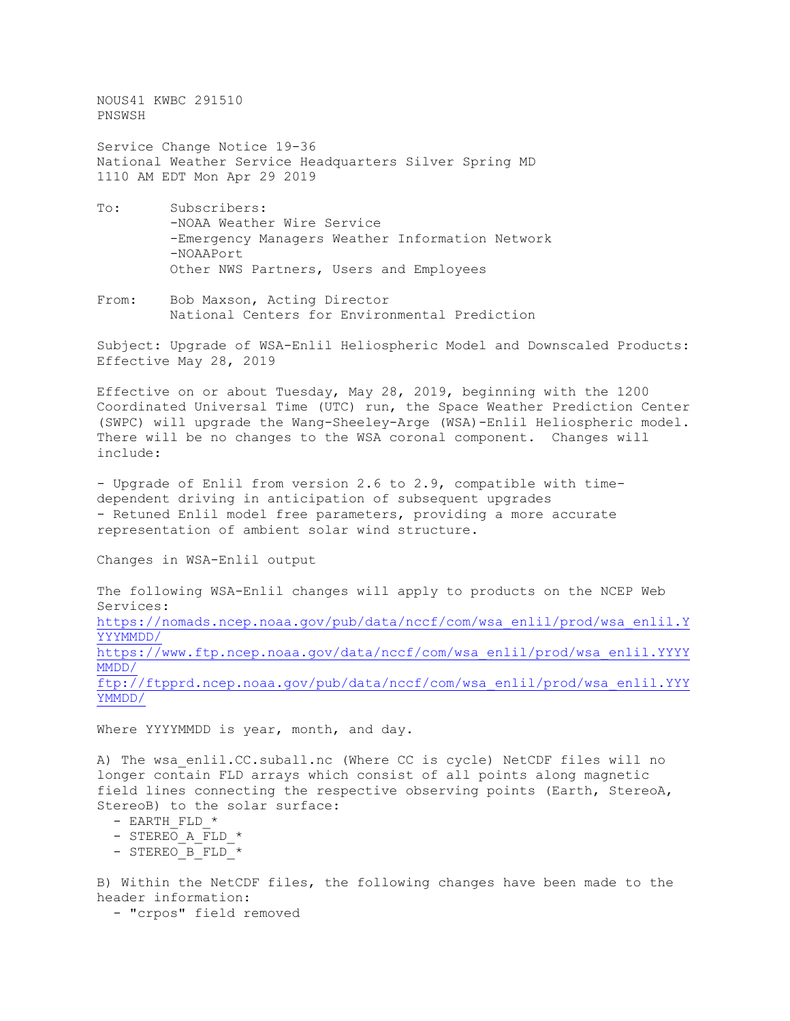NOUS41 KWBC 291510 PNSWSH

Service Change Notice 19-36 National Weather Service Headquarters Silver Spring MD 1110 AM EDT Mon Apr 29 2019

- To: Subscribers: -NOAA Weather Wire Service -Emergency Managers Weather Information Network -NOAAPort Other NWS Partners, Users and Employees
- From: Bob Maxson, Acting Director National Centers for Environmental Prediction

Subject: Upgrade of WSA-Enlil Heliospheric Model and Downscaled Products: Effective May 28, 2019

Effective on or about Tuesday, May 28, 2019, beginning with the 1200 Coordinated Universal Time (UTC) run, the Space Weather Prediction Center (SWPC) will upgrade the Wang-Sheeley-Arge (WSA)-Enlil Heliospheric model. There will be no changes to the WSA coronal component. Changes will include:

- Upgrade of Enlil from version 2.6 to 2.9, compatible with timedependent driving in anticipation of subsequent upgrades - Retuned Enlil model free parameters, providing a more accurate representation of ambient solar wind structure.

Changes in WSA-Enlil output

The following WSA-Enlil changes will apply to products on the NCEP Web Services: [https://nomads.ncep.noaa.gov/pub/data/nccf/com/wsa\\_enlil/prod/wsa\\_enlil.Y](https://nomads.ncep.noaa.gov/pub/data/nccf/com/wsa_enlil/prod/wsa_enlil.YYYYMMDD/) [YYYMMDD/](https://nomads.ncep.noaa.gov/pub/data/nccf/com/wsa_enlil/prod/wsa_enlil.YYYYMMDD/) [https://www.ftp.ncep.noaa.gov/data/nccf/com/wsa\\_enlil/prod/wsa\\_enlil.YYYY](https://www.ftp.ncep.noaa.gov/data/nccf/com/wsa_enlil/prod/wsa_enlil.YYYYMMDD/) [MMDD/](https://www.ftp.ncep.noaa.gov/data/nccf/com/wsa_enlil/prod/wsa_enlil.YYYYMMDD/)

[ftp://ftpprd.ncep.noaa.gov/pub/data/nccf/com/wsa\\_enlil/prod/wsa\\_enlil.YYY](ftp://ftpprd.ncep.noaa.gov/pub/data/nccf/com/wsa_enlil/prod/wsa_enlil.YYYYMMDD/) [YMMDD/](ftp://ftpprd.ncep.noaa.gov/pub/data/nccf/com/wsa_enlil/prod/wsa_enlil.YYYYMMDD/)

Where YYYYMMDD is year, month, and day.

A) The wsa enlil.CC.suball.nc (Where CC is cycle) NetCDF files will no longer contain FLD arrays which consist of all points along magnetic field lines connecting the respective observing points (Earth, StereoA, StereoB) to the solar surface:

- $-$  EARTH FLD  $*$
- STEREO A  $\overline{FLD}$  \*
- STEREO B FLD \*

B) Within the NetCDF files, the following changes have been made to the header information:

- "crpos" field removed